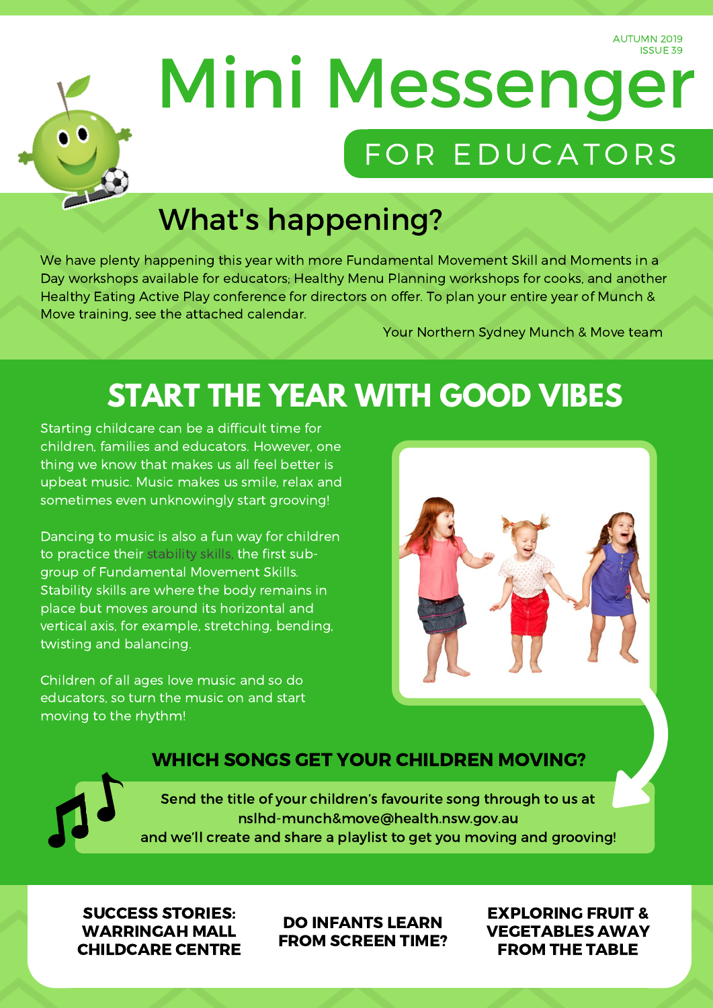AUTUMN 2019 ISSUE 39



# Mini Messenger FOR EDUCATORS

# What's happening?

We have plenty happening this year with more Fundamental Movement Skill and Moments in a Day workshops available for educators; Healthy Menu Planning workshops for cooks, and another Healthy Eating Active Play conference for directors on offer. To plan your entire year of Munch & Move training, see the attached calendar.

Your Northern Sydney Munch & Move team

### **START THE YEAR WITH GOOD VIBES**

Starting childcare can be a difficult time for children, families and educators. However, one thing we know that makes us all feel better is upbeat music. Music makes us smile, relax and sometimes even unknowingly start grooving!

Dancing to music is also a fun way for children to practice their stability skills, the first subgroup of Fundamental Movement Skills. Stability skills are where the body remains in place but moves around its horizontal and vertical axis, for example, stretching, bending, twisting and balancing.

Children of all ages love music and so do educators, so turn the music on and start moving to the rhythm!



#### WHICH SONGS GET YOUR CHILDREN MOVING?

Send the title of your children's favourite song through to us at nslhd-munch&move@health.nsw.gov.au and we'll create and share a playlist to get you moving and grooving!

SUCCESS STORIES: WARRINGAH MALL CHILDCARE CENTRE

DO INFANTS LEARN FROM SCREEN TIME? EXPLORING FRUIT & VEGETABLES AWAY FROM THE TABLE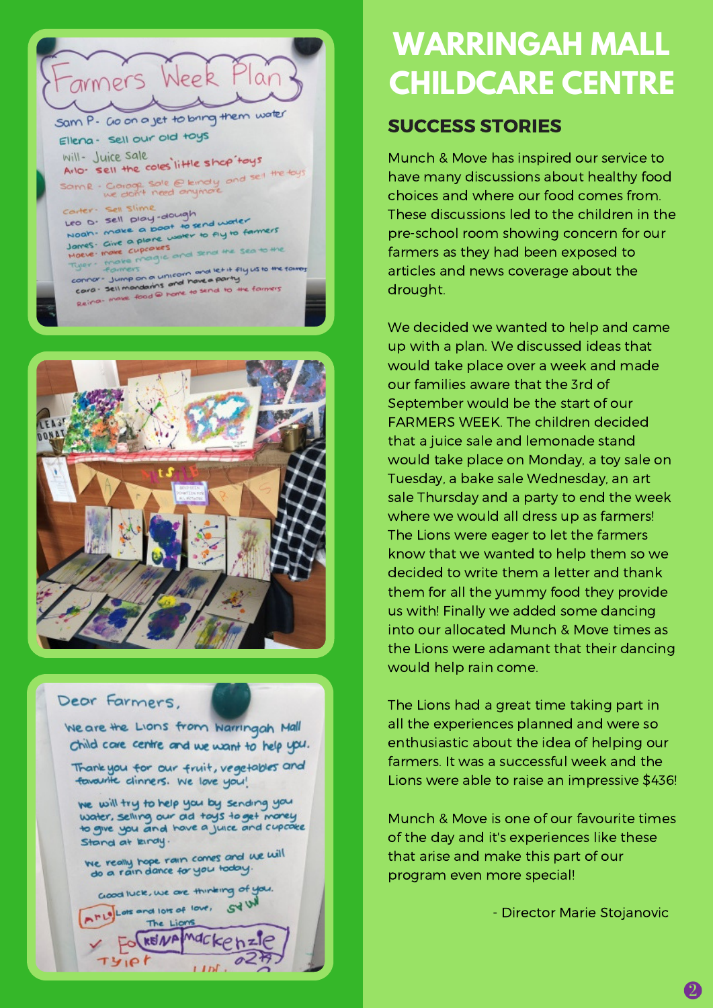



#### Dear Farmers.

We are the Lions from Warringah Mall Child care centre and we want to help upu.

Thank you for our fruit, vegetables and fovourite clinners. We love you!

we will try to help you by sending you water, selling our ad tays to get morey to give you and have a juice and cupcake Stand at kindy.

We really hope rain comes and we will<br>do a rain dance for you today.

Good luck, we are thinking of you. A PLO Lots and lots of love, **SY W** 

 $11h$ 

The Lions **KEINA** 

TYIPI

## **WARRINGAH MALL CHILDCARE CENTRE**

#### SUCCESS STORIES

Munch & Move has inspired our service to have many discussions about healthy food choices and where our food comes from. These discussions led to the children in the pre-school room showing concern for our farmers as they had been exposed to articles and news coverage about the drought.

We decided we wanted to help and came up with a plan. We discussed ideas that would take place over a week and made our families aware that the 3rd of September would be the start of our FARMERS WEEK. The children decided that a juice sale and lemonade stand would take place on Monday, a toy sale on Tuesday, a bake sale Wednesday, an art sale Thursday and a party to end the week where we would all dress up as farmers! The Lions were eager to let the farmers know that we wanted to help them so we decided to write them a letter and thank them for all the yummy food they provide us with! Finally we added some dancing into our allocated Munch & Move times as the Lions were adamant that their dancing would help rain come.

The Lions had a great time taking part in all the experiences planned and were so enthusiastic about the idea of helping our farmers. It was a successful week and the Lions were able to raise an impressive \$436!

Munch & Move is one of our favourite times of the day and it's experiences like these that arise and make this part of our program even more special!

- Director Marie Stojanovic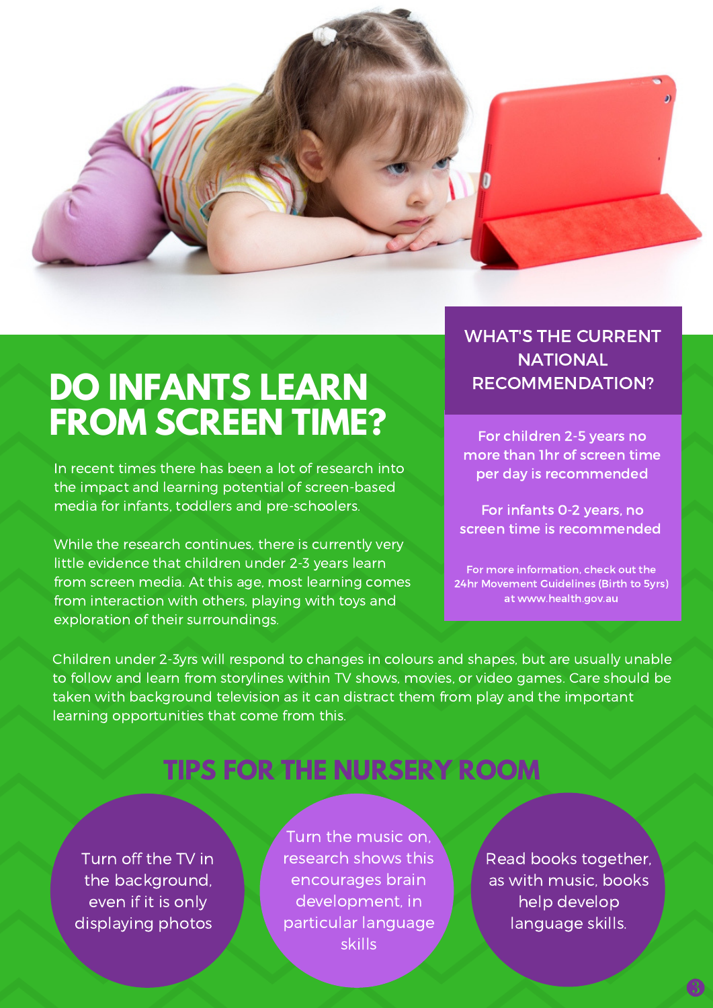

# **DO INFANTS LEARN FROM SCREEN TIME?**

In recent times there has been a lot of research into the impact and learning potential of screen-based media for infants, toddlers and pre-schoolers.

While the research continues, there is currently very little evidence that children under 2-3 years learn from screen media. At this age, most learning comes from interaction with others, playing with toys and exploration of their surroundings.

#### WHAT'S THE CURRENT **NATIONAL** RECOMMENDATION?

For children 2-5 years no more than 1hr of screen time per day is recommended

For infants 0-2 years, no screen time is recommended

For more information, check out the 24hr Movement Guidelines (Birth to 5yrs) at [www.health.gov.au](http://www.health.gov.au/internet/main/publishing.nsf/Content/npra-0-5yrs-brochure)

Children under 2-3yrs will respond to changes in colours and shapes, but are usually unable to follow and learn from storylines within TV shows, movies, or video games. Care should be taken with background television as it can distract them from play and the important learning opportunities that come from this.

### **TIPS FOR THE NURSERY ROOM**

Turn off the TV in the background, even if it is only displaying photos

Turn the music on, research shows this encourages brain development, in particular language skills

Read books together, as with music, books help develop language skills.